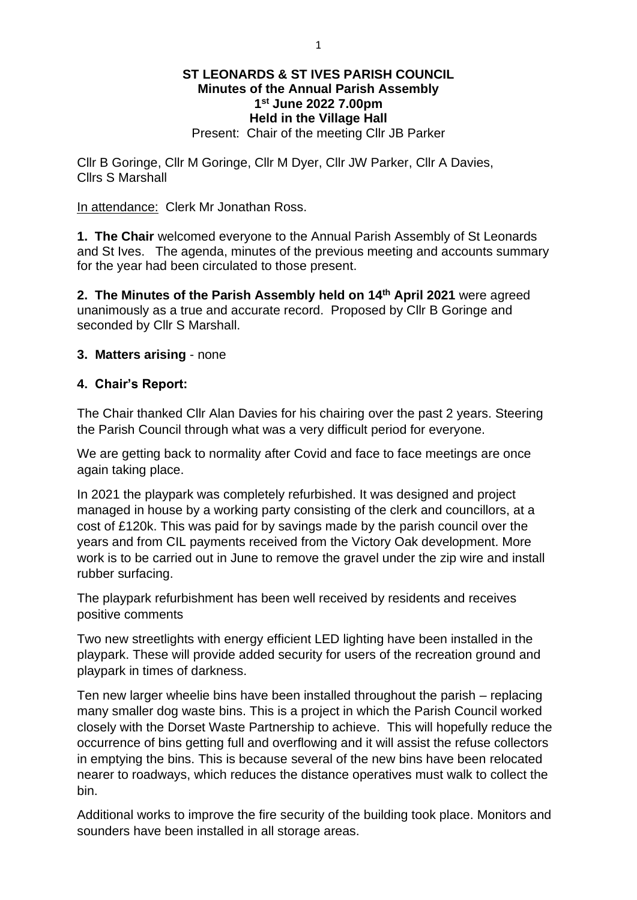## **ST LEONARDS & ST IVES PARISH COUNCIL Minutes of the Annual Parish Assembly 1 st June 2022 7.00pm Held in the Village Hall** Present: Chair of the meeting Cllr JB Parker

Cllr B Goringe, Cllr M Goringe, Cllr M Dyer, Cllr JW Parker, Cllr A Davies, Cllrs S Marshall

In attendance: Clerk Mr Jonathan Ross.

**1. The Chair** welcomed everyone to the Annual Parish Assembly of St Leonards and St Ives. The agenda, minutes of the previous meeting and accounts summary for the year had been circulated to those present.

**2. The Minutes of the Parish Assembly held on 14th April 2021** were agreed unanimously as a true and accurate record. Proposed by Cllr B Goringe and seconded by Cllr S Marshall.

### **3. Matters arising** - none

### **4. Chair's Report:**

The Chair thanked Cllr Alan Davies for his chairing over the past 2 years. Steering the Parish Council through what was a very difficult period for everyone.

We are getting back to normality after Covid and face to face meetings are once again taking place.

In 2021 the playpark was completely refurbished. It was designed and project managed in house by a working party consisting of the clerk and councillors, at a cost of £120k. This was paid for by savings made by the parish council over the years and from CIL payments received from the Victory Oak development. More work is to be carried out in June to remove the gravel under the zip wire and install rubber surfacing.

The playpark refurbishment has been well received by residents and receives positive comments

Two new streetlights with energy efficient LED lighting have been installed in the playpark. These will provide added security for users of the recreation ground and playpark in times of darkness.

Ten new larger wheelie bins have been installed throughout the parish – replacing many smaller dog waste bins. This is a project in which the Parish Council worked closely with the Dorset Waste Partnership to achieve. This will hopefully reduce the occurrence of bins getting full and overflowing and it will assist the refuse collectors in emptying the bins. This is because several of the new bins have been relocated nearer to roadways, which reduces the distance operatives must walk to collect the bin.

Additional works to improve the fire security of the building took place. Monitors and sounders have been installed in all storage areas.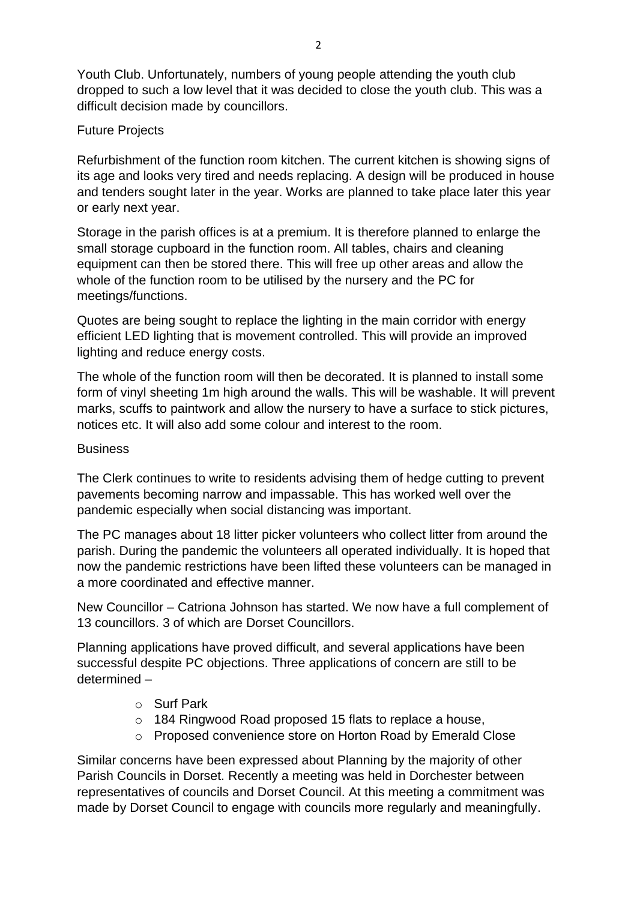Youth Club. Unfortunately, numbers of young people attending the youth club dropped to such a low level that it was decided to close the youth club. This was a difficult decision made by councillors.

# Future Projects

Refurbishment of the function room kitchen. The current kitchen is showing signs of its age and looks very tired and needs replacing. A design will be produced in house and tenders sought later in the year. Works are planned to take place later this year or early next year.

Storage in the parish offices is at a premium. It is therefore planned to enlarge the small storage cupboard in the function room. All tables, chairs and cleaning equipment can then be stored there. This will free up other areas and allow the whole of the function room to be utilised by the nursery and the PC for meetings/functions.

Quotes are being sought to replace the lighting in the main corridor with energy efficient LED lighting that is movement controlled. This will provide an improved lighting and reduce energy costs.

The whole of the function room will then be decorated. It is planned to install some form of vinyl sheeting 1m high around the walls. This will be washable. It will prevent marks, scuffs to paintwork and allow the nursery to have a surface to stick pictures, notices etc. It will also add some colour and interest to the room.

## **Business**

The Clerk continues to write to residents advising them of hedge cutting to prevent pavements becoming narrow and impassable. This has worked well over the pandemic especially when social distancing was important.

The PC manages about 18 litter picker volunteers who collect litter from around the parish. During the pandemic the volunteers all operated individually. It is hoped that now the pandemic restrictions have been lifted these volunteers can be managed in a more coordinated and effective manner.

New Councillor – Catriona Johnson has started. We now have a full complement of 13 councillors. 3 of which are Dorset Councillors.

Planning applications have proved difficult, and several applications have been successful despite PC objections. Three applications of concern are still to be determined –

- o Surf Park
- o 184 Ringwood Road proposed 15 flats to replace a house,
- o Proposed convenience store on Horton Road by Emerald Close

Similar concerns have been expressed about Planning by the majority of other Parish Councils in Dorset. Recently a meeting was held in Dorchester between representatives of councils and Dorset Council. At this meeting a commitment was made by Dorset Council to engage with councils more regularly and meaningfully.